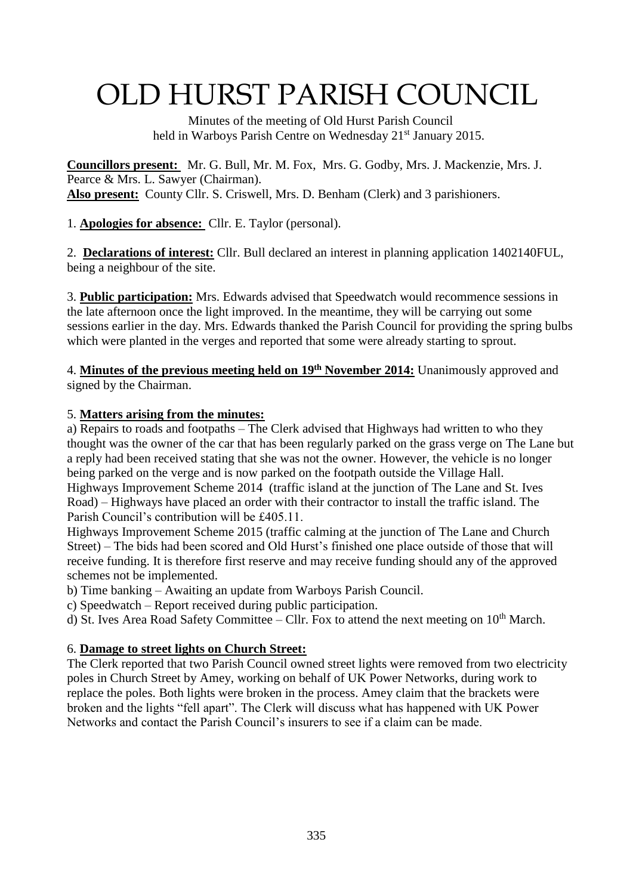# OLD HURST PARISH COUNCIL

 Minutes of the meeting of Old Hurst Parish Council held in Warboys Parish Centre on Wednesday 21<sup>st</sup> January 2015.

**Councillors present:** Mr. G. Bull, Mr. M. Fox, Mrs. G. Godby, Mrs. J. Mackenzie, Mrs. J. Pearce & Mrs. L. Sawyer (Chairman). **Also present:** County Cllr. S. Criswell, Mrs. D. Benham (Clerk) and 3 parishioners.

1. **Apologies for absence:** Cllr. E. Taylor (personal).

2. **Declarations of interest:** Cllr. Bull declared an interest in planning application 1402140FUL, being a neighbour of the site.

3. **Public participation:** Mrs. Edwards advised that Speedwatch would recommence sessions in the late afternoon once the light improved. In the meantime, they will be carrying out some sessions earlier in the day. Mrs. Edwards thanked the Parish Council for providing the spring bulbs which were planted in the verges and reported that some were already starting to sprout.

4. **Minutes of the previous meeting held on 19th November 2014:** Unanimously approved and signed by the Chairman.

### 5. **Matters arising from the minutes:**

a) Repairs to roads and footpaths – The Clerk advised that Highways had written to who they thought was the owner of the car that has been regularly parked on the grass verge on The Lane but a reply had been received stating that she was not the owner. However, the vehicle is no longer being parked on the verge and is now parked on the footpath outside the Village Hall. Highways Improvement Scheme 2014 (traffic island at the junction of The Lane and St. Ives Road) – Highways have placed an order with their contractor to install the traffic island. The Parish Council's contribution will be £405.11.

Highways Improvement Scheme 2015 (traffic calming at the junction of The Lane and Church Street) – The bids had been scored and Old Hurst's finished one place outside of those that will receive funding. It is therefore first reserve and may receive funding should any of the approved schemes not be implemented.

b) Time banking – Awaiting an update from Warboys Parish Council.

c) Speedwatch – Report received during public participation.

d) St. Ives Area Road Safety Committee – Cllr. Fox to attend the next meeting on  $10<sup>th</sup>$  March.

### 6. **Damage to street lights on Church Street:**

The Clerk reported that two Parish Council owned street lights were removed from two electricity poles in Church Street by Amey, working on behalf of UK Power Networks, during work to replace the poles. Both lights were broken in the process. Amey claim that the brackets were broken and the lights "fell apart". The Clerk will discuss what has happened with UK Power Networks and contact the Parish Council's insurers to see if a claim can be made.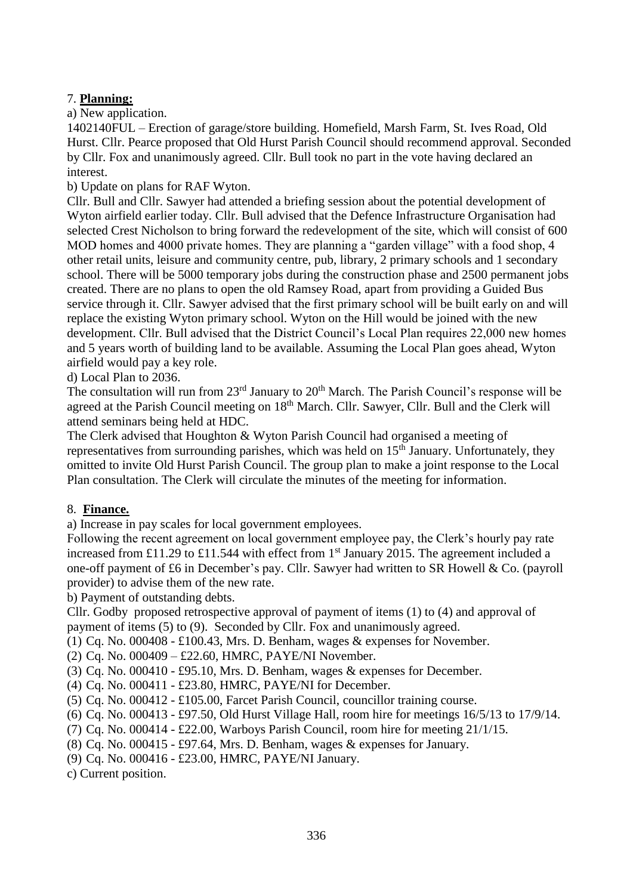# 7. **Planning:**

a) New application.

1402140FUL – Erection of garage/store building. Homefield, Marsh Farm, St. Ives Road, Old Hurst. Cllr. Pearce proposed that Old Hurst Parish Council should recommend approval. Seconded by Cllr. Fox and unanimously agreed. Cllr. Bull took no part in the vote having declared an interest.

b) Update on plans for RAF Wyton.

Cllr. Bull and Cllr. Sawyer had attended a briefing session about the potential development of Wyton airfield earlier today. Cllr. Bull advised that the Defence Infrastructure Organisation had selected Crest Nicholson to bring forward the redevelopment of the site, which will consist of 600 MOD homes and 4000 private homes. They are planning a "garden village" with a food shop, 4 other retail units, leisure and community centre, pub, library, 2 primary schools and 1 secondary school. There will be 5000 temporary jobs during the construction phase and 2500 permanent jobs created. There are no plans to open the old Ramsey Road, apart from providing a Guided Bus service through it. Cllr. Sawyer advised that the first primary school will be built early on and will replace the existing Wyton primary school. Wyton on the Hill would be joined with the new development. Cllr. Bull advised that the District Council's Local Plan requires 22,000 new homes and 5 years worth of building land to be available. Assuming the Local Plan goes ahead, Wyton airfield would pay a key role.

d) Local Plan to 2036.

The consultation will run from  $23<sup>rd</sup>$  January to  $20<sup>th</sup>$  March. The Parish Council's response will be agreed at the Parish Council meeting on 18<sup>th</sup> March. Cllr. Sawyer, Cllr. Bull and the Clerk will attend seminars being held at HDC.

The Clerk advised that Houghton & Wyton Parish Council had organised a meeting of representatives from surrounding parishes, which was held on  $15<sup>th</sup>$  January. Unfortunately, they omitted to invite Old Hurst Parish Council. The group plan to make a joint response to the Local Plan consultation. The Clerk will circulate the minutes of the meeting for information.

### 8. **Finance.**

a) Increase in pay scales for local government employees.

Following the recent agreement on local government employee pay, the Clerk's hourly pay rate increased from £11.29 to £11.544 with effect from  $1<sup>st</sup>$  January 2015. The agreement included a one-off payment of £6 in December's pay. Cllr. Sawyer had written to SR Howell & Co. (payroll provider) to advise them of the new rate.

b) Payment of outstanding debts.

Cllr. Godby proposed retrospective approval of payment of items (1) to (4) and approval of payment of items (5) to (9). Seconded by Cllr. Fox and unanimously agreed.

(1) Cq. No. 000408 - £100.43, Mrs. D. Benham, wages & expenses for November.

(2) Cq. No. 000409 – £22.60, HMRC, PAYE/NI November.

(3) Cq. No.  $000410 - \text{\textsterling}95.10$ , Mrs. D. Benham, wages & expenses for December.

(4) Cq. No. 000411 - £23.80, HMRC, PAYE/NI for December.

(5) Cq. No. 000412 - £105.00, Farcet Parish Council, councillor training course.

(6) Cq. No. 000413 - £97.50, Old Hurst Village Hall, room hire for meetings 16/5/13 to 17/9/14.

(7) Cq. No. 000414 - £22.00, Warboys Parish Council, room hire for meeting 21/1/15.

(8) Cq. No. 000415 - £97.64, Mrs. D. Benham, wages & expenses for January.

(9) Cq. No. 000416 - £23.00, HMRC, PAYE/NI January.

c) Current position.